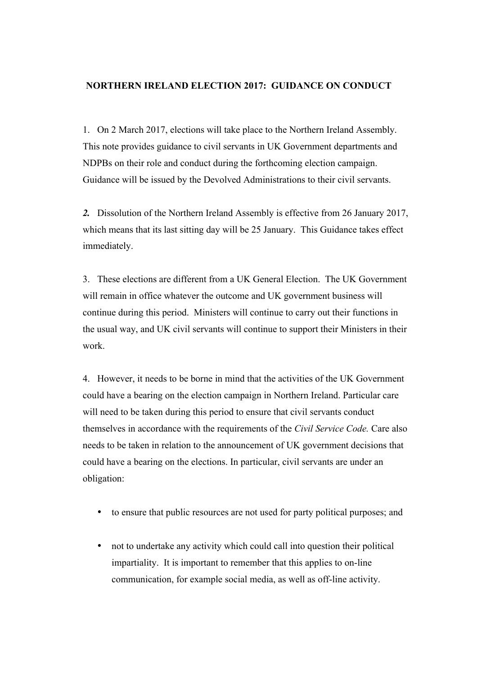#### **NORTHERN IRELAND ELECTION 2017: GUIDANCE ON CONDUCT**

1. On 2 March 2017, elections will take place to the Northern Ireland Assembly. This note provides guidance to civil servants in UK Government departments and NDPBs on their role and conduct during the forthcoming election campaign. Guidance will be issued by the Devolved Administrations to their civil servants.

*2.* Dissolution of the Northern Ireland Assembly is effective from 26 January 2017, which means that its last sitting day will be 25 January. This Guidance takes effect immediately.

3. These elections are different from a UK General Election. The UK Government will remain in office whatever the outcome and UK government business will continue during this period. Ministers will continue to carry out their functions in the usual way, and UK civil servants will continue to support their Ministers in their work.

4. However, it needs to be borne in mind that the activities of the UK Government could have a bearing on the election campaign in Northern Ireland. Particular care will need to be taken during this period to ensure that civil servants conduct themselves in accordance with the requirements of the *Civil Service Code.* Care also needs to be taken in relation to the announcement of UK government decisions that could have a bearing on the elections. In particular, civil servants are under an obligation:

- to ensure that public resources are not used for party political purposes; and
- not to undertake any activity which could call into question their political impartiality. It is important to remember that this applies to on-line communication, for example social media, as well as off-line activity.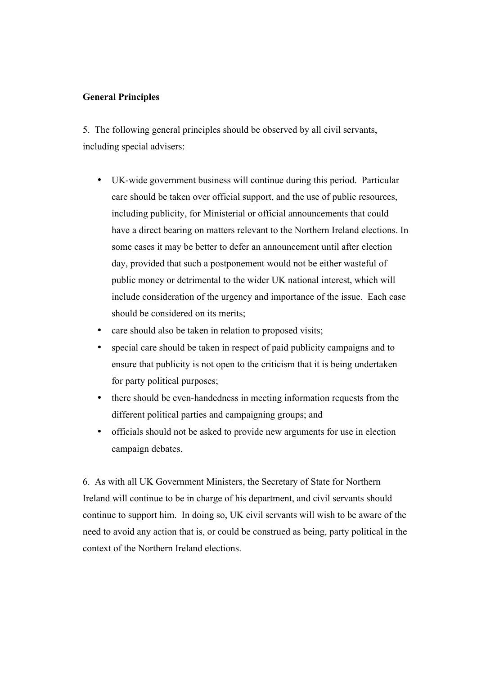# **General Principles**

5. The following general principles should be observed by all civil servants, including special advisers:

- UK-wide government business will continue during this period. Particular care should be taken over official support, and the use of public resources, including publicity, for Ministerial or official announcements that could have a direct bearing on matters relevant to the Northern Ireland elections. In some cases it may be better to defer an announcement until after election day, provided that such a postponement would not be either wasteful of public money or detrimental to the wider UK national interest, which will include consideration of the urgency and importance of the issue. Each case should be considered on its merits;
- care should also be taken in relation to proposed visits;
- special care should be taken in respect of paid publicity campaigns and to ensure that publicity is not open to the criticism that it is being undertaken for party political purposes;
- there should be even-handedness in meeting information requests from the different political parties and campaigning groups; and
- officials should not be asked to provide new arguments for use in election campaign debates.

6. As with all UK Government Ministers, the Secretary of State for Northern Ireland will continue to be in charge of his department, and civil servants should continue to support him. In doing so, UK civil servants will wish to be aware of the need to avoid any action that is, or could be construed as being, party political in the context of the Northern Ireland elections.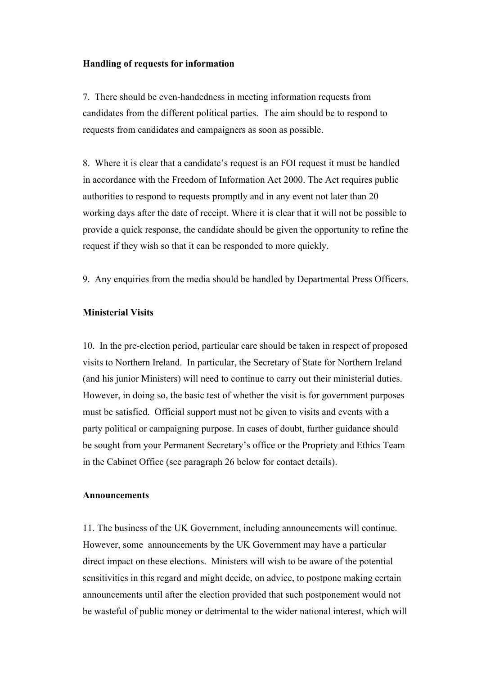#### **Handling of requests for information**

7. There should be even-handedness in meeting information requests from candidates from the different political parties. The aim should be to respond to requests from candidates and campaigners as soon as possible.

8. Where it is clear that a candidate's request is an FOI request it must be handled in accordance with the Freedom of Information Act 2000. The Act requires public authorities to respond to requests promptly and in any event not later than 20 working days after the date of receipt. Where it is clear that it will not be possible to provide a quick response, the candidate should be given the opportunity to refine the request if they wish so that it can be responded to more quickly.

9. Any enquiries from the media should be handled by Departmental Press Officers.

# **Ministerial Visits**

10. In the pre-election period, particular care should be taken in respect of proposed visits to Northern Ireland. In particular, the Secretary of State for Northern Ireland (and his junior Ministers) will need to continue to carry out their ministerial duties. However, in doing so, the basic test of whether the visit is for government purposes must be satisfied. Official support must not be given to visits and events with a party political or campaigning purpose. In cases of doubt, further guidance should be sought from your Permanent Secretary's office or the Propriety and Ethics Team in the Cabinet Office (see paragraph 26 below for contact details).

#### **Announcements**

11. The business of the UK Government, including announcements will continue. However, some announcements by the UK Government may have a particular direct impact on these elections. Ministers will wish to be aware of the potential sensitivities in this regard and might decide, on advice, to postpone making certain announcements until after the election provided that such postponement would not be wasteful of public money or detrimental to the wider national interest, which will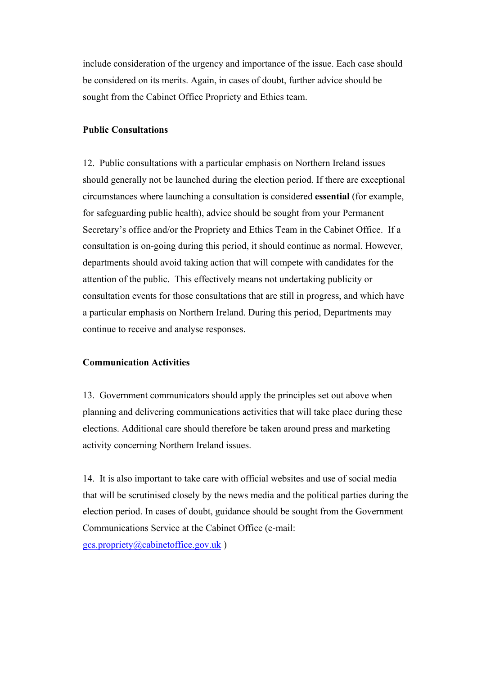include consideration of the urgency and importance of the issue. Each case should be considered on its merits. Again, in cases of doubt, further advice should be sought from the Cabinet Office Propriety and Ethics team.

## **Public Consultations**

12. Public consultations with a particular emphasis on Northern Ireland issues should generally not be launched during the election period. If there are exceptional circumstances where launching a consultation is considered **essential** (for example, for safeguarding public health), advice should be sought from your Permanent Secretary's office and/or the Propriety and Ethics Team in the Cabinet Office. If a consultation is on-going during this period, it should continue as normal. However, departments should avoid taking action that will compete with candidates for the attention of the public. This effectively means not undertaking publicity or consultation events for those consultations that are still in progress, and which have a particular emphasis on Northern Ireland. During this period, Departments may continue to receive and analyse responses.

## **Communication Activities**

13. Government communicators should apply the principles set out above when planning and delivering communications activities that will take place during these elections. Additional care should therefore be taken around press and marketing activity concerning Northern Ireland issues.

14. It is also important to take care with official websites and use of social media that will be scrutinised closely by the news media and the political parties during the election period. In cases of doubt, guidance should be sought from the Government Communications Service at the Cabinet Office (e-mail: gcs.propriety@cabinetoffice.gov.uk )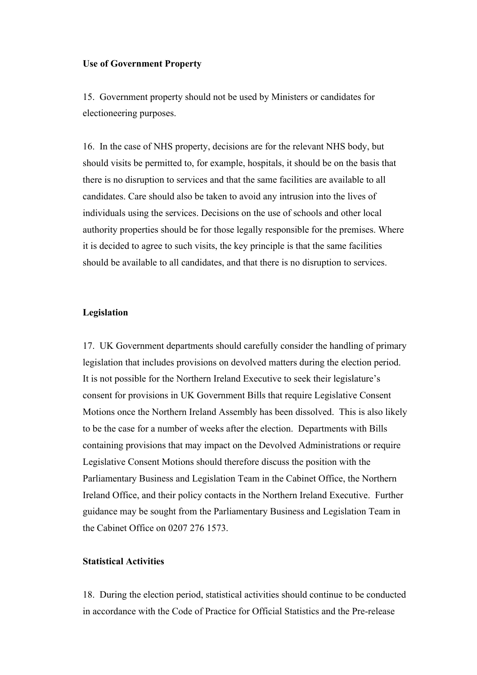#### **Use of Government Property**

15. Government property should not be used by Ministers or candidates for electioneering purposes.

16. In the case of NHS property, decisions are for the relevant NHS body, but should visits be permitted to, for example, hospitals, it should be on the basis that there is no disruption to services and that the same facilities are available to all candidates. Care should also be taken to avoid any intrusion into the lives of individuals using the services. Decisions on the use of schools and other local authority properties should be for those legally responsible for the premises. Where it is decided to agree to such visits, the key principle is that the same facilities should be available to all candidates, and that there is no disruption to services.

#### **Legislation**

17. UK Government departments should carefully consider the handling of primary legislation that includes provisions on devolved matters during the election period. It is not possible for the Northern Ireland Executive to seek their legislature's consent for provisions in UK Government Bills that require Legislative Consent Motions once the Northern Ireland Assembly has been dissolved. This is also likely to be the case for a number of weeks after the election. Departments with Bills containing provisions that may impact on the Devolved Administrations or require Legislative Consent Motions should therefore discuss the position with the Parliamentary Business and Legislation Team in the Cabinet Office, the Northern Ireland Office, and their policy contacts in the Northern Ireland Executive. Further guidance may be sought from the Parliamentary Business and Legislation Team in the Cabinet Office on 0207 276 1573.

# **Statistical Activities**

18. During the election period, statistical activities should continue to be conducted in accordance with the Code of Practice for Official Statistics and the Pre-release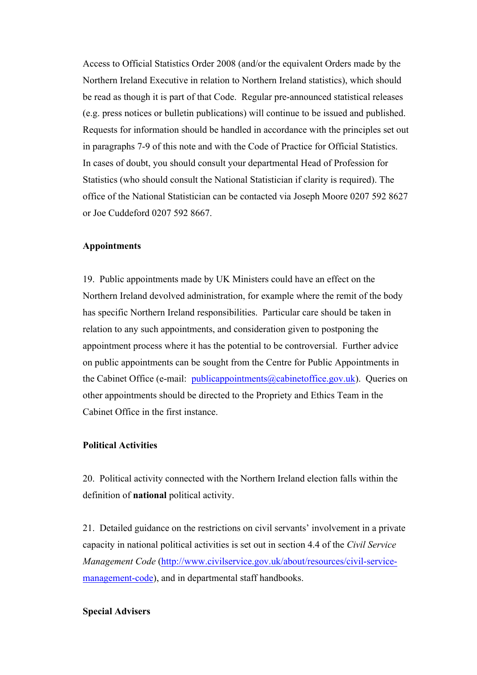Access to Official Statistics Order 2008 (and/or the equivalent Orders made by the Northern Ireland Executive in relation to Northern Ireland statistics), which should be read as though it is part of that Code. Regular pre-announced statistical releases (e.g. press notices or bulletin publications) will continue to be issued and published. Requests for information should be handled in accordance with the principles set out in paragraphs 7-9 of this note and with the Code of Practice for Official Statistics. In cases of doubt, you should consult your departmental Head of Profession for Statistics (who should consult the National Statistician if clarity is required). The office of the National Statistician can be contacted via Joseph Moore 0207 592 8627 or Joe Cuddeford 0207 592 8667.

#### **Appointments**

19. Public appointments made by UK Ministers could have an effect on the Northern Ireland devolved administration, for example where the remit of the body has specific Northern Ireland responsibilities. Particular care should be taken in relation to any such appointments, and consideration given to postponing the appointment process where it has the potential to be controversial. Further advice on public appointments can be sought from the Centre for Public Appointments in the Cabinet Office (e-mail: publicappointments@cabinetoffice.gov.uk). Queries on other appointments should be directed to the Propriety and Ethics Team in the Cabinet Office in the first instance.

#### **Political Activities**

20. Political activity connected with the Northern Ireland election falls within the definition of **national** political activity.

21. Detailed guidance on the restrictions on civil servants' involvement in a private capacity in national political activities is set out in section 4.4 of the *Civil Service Management Code* (http://www.civilservice.gov.uk/about/resources/civil-servicemanagement-code), and in departmental staff handbooks.

#### **Special Advisers**